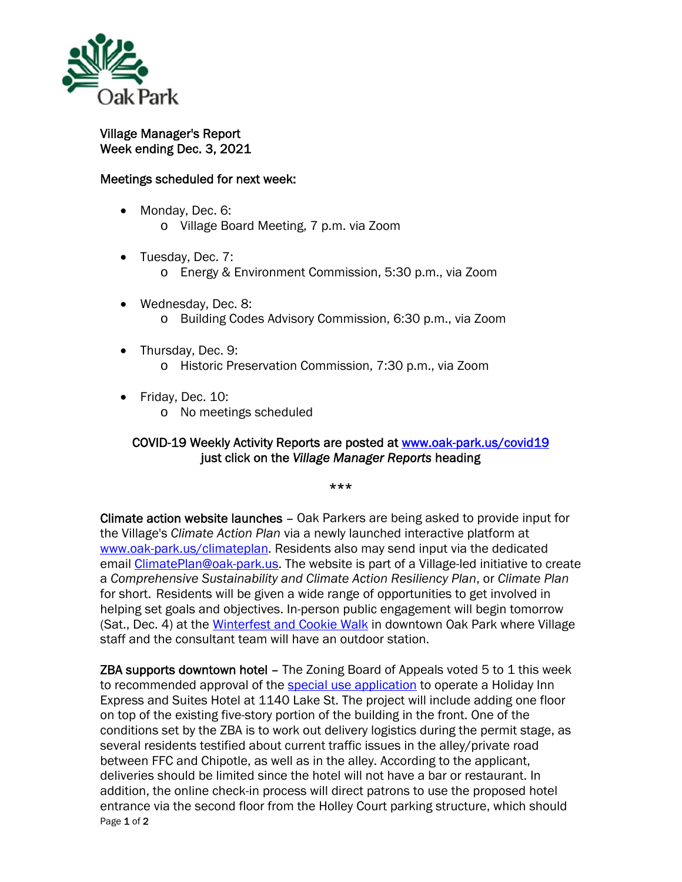

Village Manager's Report Week ending Dec. 3, 2021

## Meetings scheduled for next week:

- Monday, Dec. 6: o Village Board Meeting, 7 p.m. via Zoom
- Tuesday, Dec. 7: o Energy & Environment Commission, 5:30 p.m., via Zoom
- Wednesday, Dec. 8: o Building Codes Advisory Commission, 6:30 p.m., via Zoom
- Thursday, Dec. 9: o Historic Preservation Commission, 7:30 p.m., via Zoom
- Friday, Dec. 10:
	- o No meetings scheduled

## COVID-19 Weekly Activity Reports are posted at www.oak-park.us/covid19 just click on the *Village Manager Reports* heading

## \*\*\*

Climate action website launches – Oak Parkers are being asked to provide input for the Village's *Climate Action Plan* via a newly launched interactive platform at www.oak-park.us/climateplan. Residents also may send input via the dedicated email ClimatePlan@oak-park.us. The website is part of a Village-led initiative to create a *Comprehensive Sustainability and Climate Action Resiliency Plan*, or *Climate Plan* for short. Residents will be given a wide range of opportunities to get involved in helping set goals and objectives. In-person public engagement will begin tomorrow (Sat., Dec. 4) at the Winterfest and Cookie Walk in downtown Oak Park where Village staff and the consultant team will have an outdoor station.

Page 1 of 2 **ZBA supports downtown hotel – The Zoning Board of Appeals voted 5 to 1 this week** to recommended approval of the special use application to operate a Holiday Inn Express and Suites Hotel at 1140 Lake St. The project will include adding one floor on top of the existing five-story portion of the building in the front. One of the conditions set by the ZBA is to work out delivery logistics during the permit stage, as several residents testified about current traffic issues in the alley/private road between FFC and Chipotle, as well as in the alley. According to the applicant, deliveries should be limited since the hotel will not have a bar or restaurant. In addition, the online check-in process will direct patrons to use the proposed hotel entrance via the second floor from the Holley Court parking structure, which should